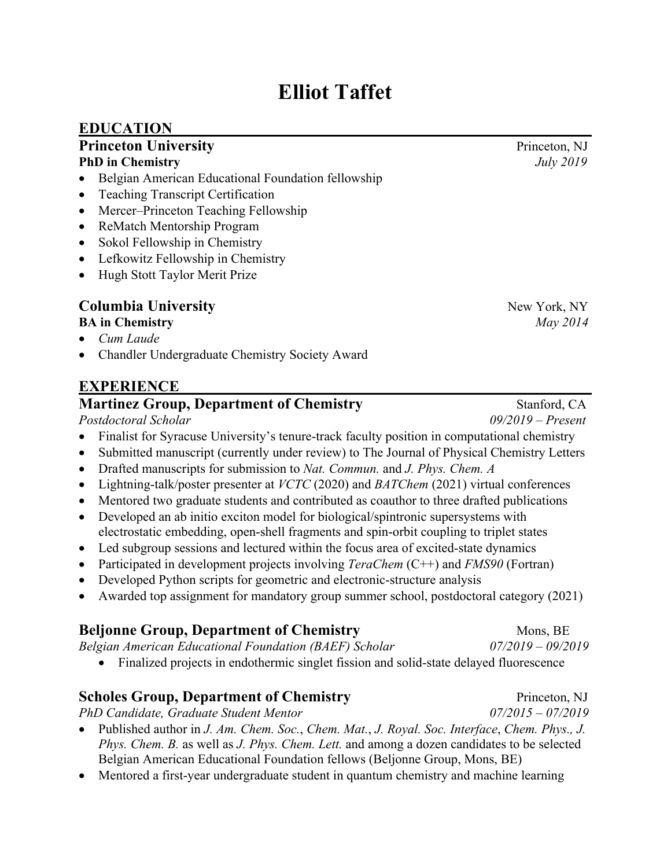# **Elliot Taffet**

#### **EDUCATION**

#### **Princeton University** Princeton, NJ **PhD in Chemistry** *July 2019*

- Belgian American Educational Foundation fellowship
- Teaching Transcript Certification
- Mercer–Princeton Teaching Fellowship
- ReMatch Mentorship Program
- Sokol Fellowship in Chemistry
- Lefkowitz Fellowship in Chemistry
- Hugh Stott Taylor Merit Prize

## **Columbia University** New York, NY

- **BA in Chemistry** *May 2014*
- *Cum Laude*
- Chandler Undergraduate Chemistry Society Award

#### **EXPERIENCE**

#### **Martinez Group, Department of Chemistry Stanford, CA**

*Postdoctoral Scholar 09/2019 – Present*

- Finalist for Syracuse University's tenure-track faculty position in computational chemistry
- Submitted manuscript (currently under review) to The Journal of Physical Chemistry Letters
- Drafted manuscripts for submission to *Nat. Commun.* and *J. Phys. Chem. A*
- Lightning-talk/poster presenter at *VCTC* (2020) and *BATChem* (2021) virtual conferences
- Mentored two graduate students and contributed as coauthor to three drafted publications
- Developed an ab initio exciton model for biological/spintronic supersystems with electrostatic embedding, open-shell fragments and spin-orbit coupling to triplet states
- Led subgroup sessions and lectured within the focus area of excited-state dynamics
- Participated in development projects involving *TeraChem* (C++) and *FMS90* (Fortran)
- Developed Python scripts for geometric and electronic-structure analysis
- Awarded top assignment for mandatory group summer school, postdoctoral category (2021)

#### **Beljonne Group, Department of Chemistry Mons, BE**

*Belgian American Educational Foundation (BAEF) Scholar 07/2019 – 09/2019*

• Finalized projects in endothermic singlet fission and solid-state delayed fluorescence

#### **Scholes Group, Department of Chemistry** Princeton, NJ

*PhD Candidate, Graduate Student Mentor 07/2015 – 07/2019*

- Published author in *J. Am. Chem. Soc.*, *Chem. Mat.*, *J. Royal. Soc. Interface*, *Chem. Phys., J. Phys. Chem. B.* as well as *J. Phys. Chem. Lett.* and among a dozen candidates to be selected Belgian American Educational Foundation fellows (Beljonne Group, Mons, BE)
- Mentored a first-year undergraduate student in quantum chemistry and machine learning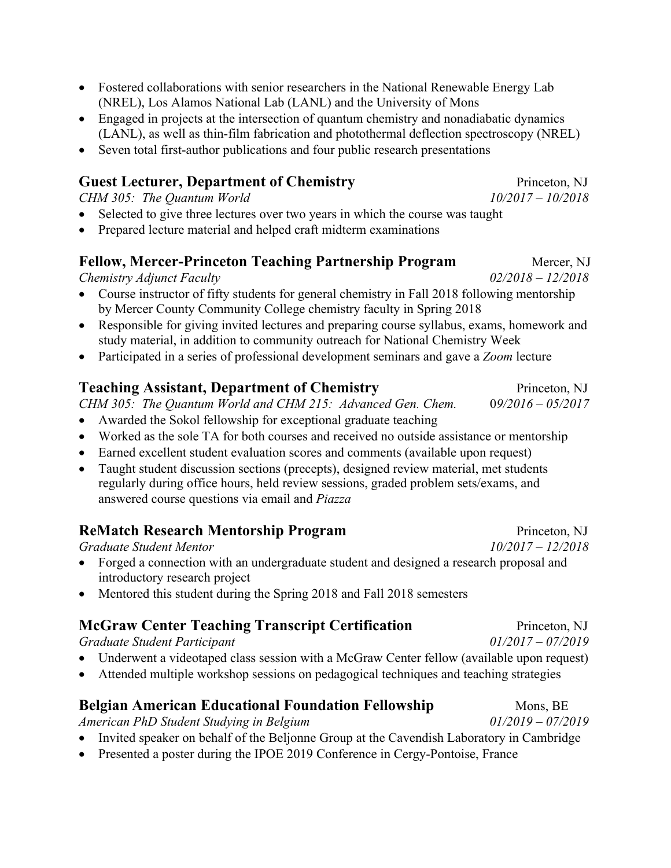- Fostered collaborations with senior researchers in the National Renewable Energy Lab (NREL), Los Alamos National Lab (LANL) and the University of Mons
- Engaged in projects at the intersection of quantum chemistry and nonadiabatic dynamics (LANL), as well as thin-film fabrication and photothermal deflection spectroscopy (NREL)
- Seven total first-author publications and four public research presentations

#### **Guest Lecturer, Department of Chemistry** Princeton, NJ

*CHM 305: The Quantum World 10/2017 – 10/2018*

- Selected to give three lectures over two years in which the course was taught
- Prepared lecture material and helped craft midterm examinations

#### **Fellow, Mercer-Princeton Teaching Partnership Program Mercer, NJ**

*Chemistry Adjunct Faculty 02/2018 – 12/2018*

- Course instructor of fifty students for general chemistry in Fall 2018 following mentorship by Mercer County Community College chemistry faculty in Spring 2018
- Responsible for giving invited lectures and preparing course syllabus, exams, homework and study material, in addition to community outreach for National Chemistry Week
- Participated in a series of professional development seminars and gave a *Zoom* lecture

#### **Teaching Assistant, Department of Chemistry Frinceton, NJ**

*CHM 305: The Quantum World and CHM 215: Advanced Gen. Chem.* 0*9/2016 – 05/2017*

- Awarded the Sokol fellowship for exceptional graduate teaching
- Worked as the sole TA for both courses and received no outside assistance or mentorship
- Earned excellent student evaluation scores and comments (available upon request)
- Taught student discussion sections (precepts), designed review material, met students regularly during office hours, held review sessions, graded problem sets/exams, and answered course questions via email and *Piazza*

#### **ReMatch Research Mentorship Program** Princeton, NJ

*Graduate Student Mentor 10/2017 – 12/2018*

- Forged a connection with an undergraduate student and designed a research proposal and introductory research project
- Mentored this student during the Spring 2018 and Fall 2018 semesters

#### **McGraw Center Teaching Transcript Certification** Princeton, NJ

*Graduate Student Participant 01/2017 – 07/2019*

- Underwent a videotaped class session with a McGraw Center fellow (available upon request)
- Attended multiple workshop sessions on pedagogical techniques and teaching strategies

#### **Belgian American Educational Foundation Fellowship Mons, BE**

*American PhD Student Studying in Belgium 01/2019 – 07/2019*

- Invited speaker on behalf of the Beljonne Group at the Cavendish Laboratory in Cambridge
- Presented a poster during the IPOE 2019 Conference in Cergy-Pontoise, France